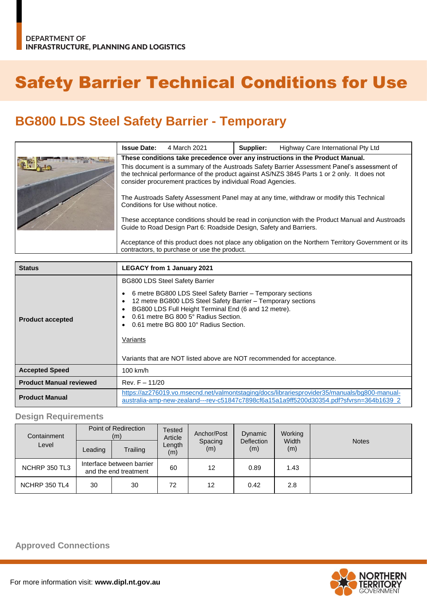# Safety Barrier Technical Conditions for Use

## **BG800 LDS Steel Safety Barrier - Temporary**

| <b>Issue Date:</b>                                                                                                                                                                                                                                        | 4 March 2021 | Supplier: | Highway Care International Pty Ltd |
|-----------------------------------------------------------------------------------------------------------------------------------------------------------------------------------------------------------------------------------------------------------|--------------|-----------|------------------------------------|
| These conditions take precedence over any instructions in the Product Manual.                                                                                                                                                                             |              |           |                                    |
| This document is a summary of the Austroads Safety Barrier Assessment Panel's assessment of<br>the technical performance of the product against AS/NZS 3845 Parts 1 or 2 only. It does not<br>consider procurement practices by individual Road Agencies. |              |           |                                    |
| The Austroads Safety Assessment Panel may at any time, withdraw or modify this Technical<br>Conditions for Use without notice.                                                                                                                            |              |           |                                    |
| These acceptance conditions should be read in conjunction with the Product Manual and Austroads<br>Guide to Road Design Part 6: Roadside Design, Safety and Barriers.                                                                                     |              |           |                                    |
| Acceptance of this product does not place any obligation on the Northern Territory Government or its<br>contractors, to purchase or use the product.                                                                                                      |              |           |                                    |

| <b>Status</b>                                                                                                                                                                                                    | <b>LEGACY from 1 January 2021</b>                                                                                                                                                                                                                                                                                                                                                                             |
|------------------------------------------------------------------------------------------------------------------------------------------------------------------------------------------------------------------|---------------------------------------------------------------------------------------------------------------------------------------------------------------------------------------------------------------------------------------------------------------------------------------------------------------------------------------------------------------------------------------------------------------|
| <b>Product accepted</b>                                                                                                                                                                                          | <b>BG800 LDS Steel Safety Barrier</b><br>6 metre BG800 LDS Steel Safety Barrier - Temporary sections<br>12 metre BG800 LDS Steel Safety Barrier - Temporary sections<br>٠<br>BG800 LDS Full Height Terminal End (6 and 12 metre).<br>٠<br>0.61 metre BG 800 5° Radius Section.<br>0.61 metre BG 800 10° Radius Section.<br>Variants<br>Variants that are NOT listed above are NOT recommended for acceptance. |
| <b>Accepted Speed</b>                                                                                                                                                                                            | $100$ km/h                                                                                                                                                                                                                                                                                                                                                                                                    |
| <b>Product Manual reviewed</b>                                                                                                                                                                                   | Rev. $F - 11/20$                                                                                                                                                                                                                                                                                                                                                                                              |
| https://az276019.vo.msecnd.net/valmontstaging/docs/librariesprovider35/manuals/bg800-manual-<br><b>Product Manual</b><br>australia-amp-new-zealand---rev-c51847c7898cf6a15a1a9ff5200d30354.pdf?sfvrsn=364b1639_2 |                                                                                                                                                                                                                                                                                                                                                                                                               |

#### **Design Requirements**

| Containment   | Point of Redirection<br>(m)                        |          | Tested<br>Article | Anchor/Post    | Dynamic                  | Working      | <b>Notes</b> |
|---------------|----------------------------------------------------|----------|-------------------|----------------|--------------------------|--------------|--------------|
| Level         | Leading                                            | Trailing | Length<br>(m)     | Spacing<br>(m) | <b>Deflection</b><br>(m) | Width<br>(m) |              |
| NCHRP 350 TL3 | Interface between barrier<br>and the end treatment |          | 60                | 12             | 0.89                     | 1.43         |              |
| NCHRP 350 TL4 | 30                                                 | 30       | 72                | 12             | 0.42                     | 2.8          |              |

#### **Approved Connections**

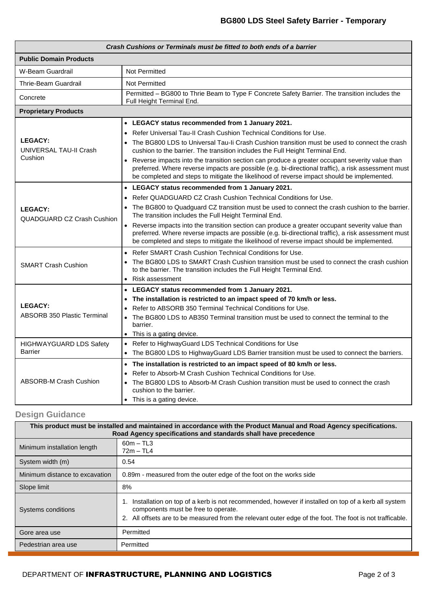| Crash Cushions or Terminals must be fitted to both ends of a barrier |                                                                                                                                                                                                                                                                                                       |  |  |  |  |
|----------------------------------------------------------------------|-------------------------------------------------------------------------------------------------------------------------------------------------------------------------------------------------------------------------------------------------------------------------------------------------------|--|--|--|--|
| <b>Public Domain Products</b>                                        |                                                                                                                                                                                                                                                                                                       |  |  |  |  |
| W-Beam Guardrail                                                     | Not Permitted                                                                                                                                                                                                                                                                                         |  |  |  |  |
| Thrie-Beam Guardrail                                                 | Not Permitted                                                                                                                                                                                                                                                                                         |  |  |  |  |
| Concrete                                                             | Permitted - BG800 to Thrie Beam to Type F Concrete Safety Barrier. The transition includes the<br><b>Full Height Terminal End.</b>                                                                                                                                                                    |  |  |  |  |
| <b>Proprietary Products</b>                                          |                                                                                                                                                                                                                                                                                                       |  |  |  |  |
|                                                                      | • LEGACY status recommended from 1 January 2021.                                                                                                                                                                                                                                                      |  |  |  |  |
|                                                                      | Refer Universal Tau-II Crash Cushion Technical Conditions for Use.<br>$\bullet$                                                                                                                                                                                                                       |  |  |  |  |
| <b>LEGACY:</b><br>UNIVERSAL TAU-II Crash<br>Cushion                  | The BG800 LDS to Universal Tau-Ii Crash Cushion transition must be used to connect the crash<br>cushion to the barrier. The transition includes the Full Height Terminal End.                                                                                                                         |  |  |  |  |
|                                                                      | • Reverse impacts into the transition section can produce a greater occupant severity value than<br>preferred. Where reverse impacts are possible (e.g. bi-directional traffic), a risk assessment must<br>be completed and steps to mitigate the likelihood of reverse impact should be implemented. |  |  |  |  |
|                                                                      | • LEGACY status recommended from 1 January 2021.                                                                                                                                                                                                                                                      |  |  |  |  |
|                                                                      | Refer QUADGUARD CZ Crash Cushion Technical Conditions for Use.                                                                                                                                                                                                                                        |  |  |  |  |
| <b>LEGACY:</b><br><b>QUADGUARD CZ Crash Cushion</b>                  | • The BG800 to Quadguard CZ transition must be used to connect the crash cushion to the barrier.<br>The transition includes the Full Height Terminal End.                                                                                                                                             |  |  |  |  |
|                                                                      | • Reverse impacts into the transition section can produce a greater occupant severity value than<br>preferred. Where reverse impacts are possible (e.g. bi-directional traffic), a risk assessment must<br>be completed and steps to mitigate the likelihood of reverse impact should be implemented. |  |  |  |  |
|                                                                      | Refer SMART Crash Cushion Technical Conditions for Use.<br>$\bullet$                                                                                                                                                                                                                                  |  |  |  |  |
| <b>SMART Crash Cushion</b>                                           | The BG800 LDS to SMART Crash Cushion transition must be used to connect the crash cushion<br>to the barrier. The transition includes the Full Height Terminal End.                                                                                                                                    |  |  |  |  |
|                                                                      | Risk assessment<br>$\bullet$                                                                                                                                                                                                                                                                          |  |  |  |  |
|                                                                      | • LEGACY status recommended from 1 January 2021.                                                                                                                                                                                                                                                      |  |  |  |  |
|                                                                      | The installation is restricted to an impact speed of 70 km/h or less.                                                                                                                                                                                                                                 |  |  |  |  |
| <b>LEGACY:</b><br><b>ABSORB 350 Plastic Terminal</b>                 | Refer to ABSORB 350 Terminal Technical Conditions for Use.                                                                                                                                                                                                                                            |  |  |  |  |
|                                                                      | • The BG800 LDS to AB350 Terminal transition must be used to connect the terminal to the<br>barrier.                                                                                                                                                                                                  |  |  |  |  |
|                                                                      | • This is a gating device.                                                                                                                                                                                                                                                                            |  |  |  |  |
| HIGHWAYGUARD LDS Safety<br><b>Barrier</b>                            | Refer to HighwayGuard LDS Technical Conditions for Use                                                                                                                                                                                                                                                |  |  |  |  |
|                                                                      | The BG800 LDS to HighwayGuard LDS Barrier transition must be used to connect the barriers.<br>$\bullet$                                                                                                                                                                                               |  |  |  |  |
| <b>ABSORB-M Crash Cushion</b>                                        | • The installation is restricted to an impact speed of 80 km/h or less.                                                                                                                                                                                                                               |  |  |  |  |
|                                                                      | Refer to Absorb-M Crash Cushion Technical Conditions for Use.<br>$\bullet$                                                                                                                                                                                                                            |  |  |  |  |
|                                                                      | The BG800 LDS to Absorb-M Crash Cushion transition must be used to connect the crash<br>cushion to the barrier.                                                                                                                                                                                       |  |  |  |  |
|                                                                      | • This is a gating device.                                                                                                                                                                                                                                                                            |  |  |  |  |

### **Design Guidance**

| This product must be installed and maintained in accordance with the Product Manual and Road Agency specifications.<br>Road Agency specifications and standards shall have precedence |                                                                                                                                                                                                                                                       |  |  |
|---------------------------------------------------------------------------------------------------------------------------------------------------------------------------------------|-------------------------------------------------------------------------------------------------------------------------------------------------------------------------------------------------------------------------------------------------------|--|--|
| Minimum installation length                                                                                                                                                           | $60m - TL3$<br>$72m - TL4$                                                                                                                                                                                                                            |  |  |
| System width (m)                                                                                                                                                                      | 0.54                                                                                                                                                                                                                                                  |  |  |
| Minimum distance to excavation                                                                                                                                                        | 0.89m - measured from the outer edge of the foot on the works side                                                                                                                                                                                    |  |  |
| Slope limit                                                                                                                                                                           | 8%                                                                                                                                                                                                                                                    |  |  |
| Systems conditions                                                                                                                                                                    | Installation on top of a kerb is not recommended, however if installed on top of a kerb all system<br>components must be free to operate.<br>2. All offsets are to be measured from the relevant outer edge of the foot. The foot is not trafficable. |  |  |
| Gore area use                                                                                                                                                                         | Permitted                                                                                                                                                                                                                                             |  |  |
| Pedestrian area use                                                                                                                                                                   | Permitted                                                                                                                                                                                                                                             |  |  |